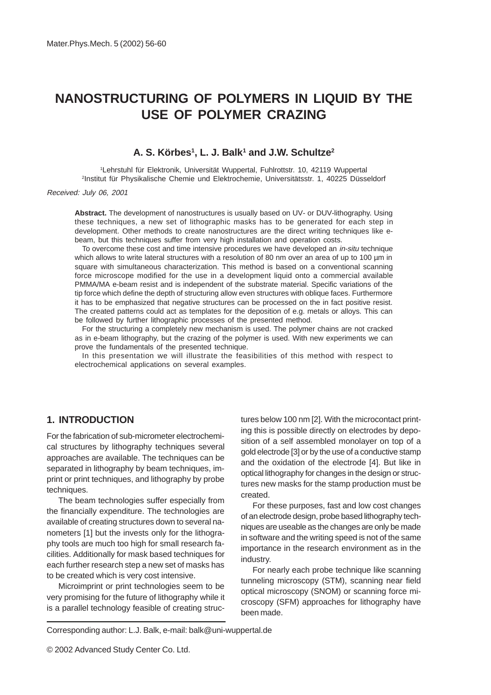# **NANOSTRUCTURING OF POLYMERS IN LIQUID BY THE USE OF POLYMER CRAZING**

#### **A. S. Körbes1 , L. J. Balk1 and J.W. Schultze2**

1 Lehrstuhl für Elektronik, Universität Wuppertal, Fuhlrottstr. 10, 42119 Wuppertal 2 Institut für Physikalische Chemie und Elektrochemie, Universitätsstr. 1, 40225 Düsseldorf

Received: July 06, 2001

**Abstract.** The development of nanostructures is usually based on UV- or DUV-lithography. Using these techniques, a new set of lithographic masks has to be generated for each step in development. Other methods to create nanostructures are the direct writing techniques like ebeam, but this techniques suffer from very high installation and operation costs.

To overcome these cost and time intensive procedures we have developed an in-situ technique which allows to write lateral structures with a resolution of 80 nm over an area of up to 100 µm in square with simultaneous characterization. This method is based on a conventional scanning force microscope modified for the use in a development liquid onto a commercial available PMMA/MA e-beam resist and is independent of the substrate material. Specific variations of the tip force which define the depth of structuring allow even structures with oblique faces. Furthermore it has to be emphasized that negative structures can be processed on the in fact positive resist. The created patterns could act as templates for the deposition of e.g. metals or alloys. This can be followed by further lithographic processes of the presented method.

For the structuring a completely new mechanism is used. The polymer chains are not cracked as in e-beam lithography, but the crazing of the polymer is used. With new experiments we can prove the fundamentals of the presented technique.

In this presentation we will illustrate the feasibilities of this method with respect to electrochemical applications on several examples.

## **1. INTRODUCTION**

For the fabrication of sub-micrometer electrochemical structures by lithography techniques several approaches are available. The techniques can be separated in lithography by beam techniques, imprint or print techniques, and lithography by probe techniques.

The beam technologies suffer especially from the financially expenditure. The technologies are available of creating structures down to several nanometers [1] but the invests only for the lithography tools are much too high for small research facilities. Additionally for mask based techniques for each further research step a new set of masks has to be created which is very cost intensive.

Microimprint or print technologies seem to be very promising for the future of lithography while it is a parallel technology feasible of creating structures below 100 nm [2]. With the microcontact printing this is possible directly on electrodes by deposition of a self assembled monolayer on top of a gold electrode [3] or by the use of a conductive stamp and the oxidation of the electrode [4]. But like in optical lithography for changes in the design or structures new masks for the stamp production must be created.

For these purposes, fast and low cost changes of an electrode design, probe based lithography techniques are useable as the changes are only be made in software and the writing speed is not of the same importance in the research environment as in the industry.

For nearly each probe technique like scanning tunneling microscopy (STM), scanning near field optical microscopy (SNOM) or scanning force microscopy (SFM) approaches for lithography have been made.

Corresponding author: L.J. Balk, e-mail: balk@uni-wuppertal.de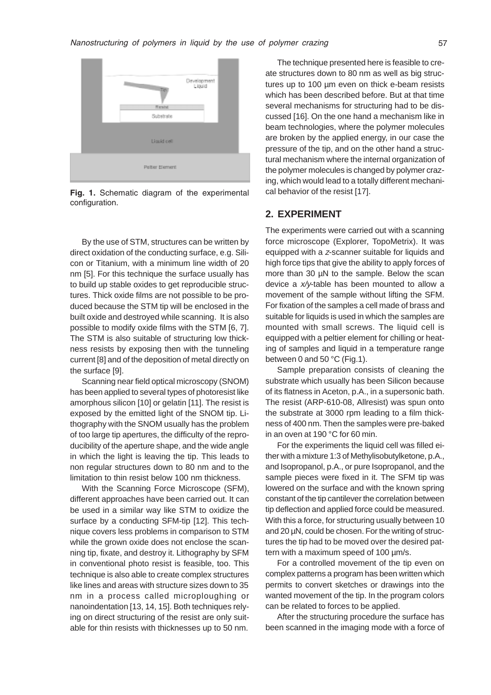

Fig. 1. Schematic diagram of the experimental configuration.

By the use of STM, structures can be written by direct oxidation of the conducting surface, e.g. Silicon or Titanium, with a minimum line width of 20 nm [5]. For this technique the surface usually has to build up stable oxides to get reproducible structures. Thick oxide films are not possible to be produced because the STM tip will be enclosed in the built oxide and destroyed while scanning. It is also possible to modify oxide films with the STM [6, 7]. The STM is also suitable of structuring low thickness resists by exposing then with the tunneling current [8] and of the deposition of metal directly on the surface [9].

Scanning near field optical microscopy (SNOM) has been applied to several types of photoresist like amorphous silicon [10] or gelatin [11]. The resist is exposed by the emitted light of the SNOM tip. Lithography with the SNOM usually has the problem of too large tip apertures, the difficulty of the reproducibility of the aperture shape, and the wide angle in which the light is leaving the tip. This leads to non regular structures down to 80 nm and to the limitation to thin resist below 100 nm thickness.

With the Scanning Force Microscope (SFM), different approaches have been carried out. It can be used in a similar way like STM to oxidize the surface by a conducting SFM-tip [12]. This technique covers less problems in comparison to STM while the grown oxide does not enclose the scanning tip, fixate, and destroy it. Lithography by SFM in conventional photo resist is feasible, too. This technique is also able to create complex structures like lines and areas with structure sizes down to 35 nm in a process called microploughing or nanoindentation [13, 14, 15]. Both techniques relying on direct structuring of the resist are only suitable for thin resists with thicknesses up to 50 nm.

The technique presented here is feasible to create structures down to 80 nm as well as big structures up to 100 µm even on thick e-beam resists which has been described before. But at that time several mechanisms for structuring had to be discussed [16]. On the one hand a mechanism like in beam technologies, where the polymer molecules are broken by the applied energy, in our case the pressure of the tip, and on the other hand a structural mechanism where the internal organization of the polymer molecules is changed by polymer crazing, which would lead to a totally different mechanical behavior of the resist [17].

### **2. EXPERIMENT**

The experiments were carried out with a scanning force microscope (Explorer, TopoMetrix). It was equipped with a z-scanner suitable for liquids and high force tips that give the ability to apply forces of more than 30 µN to the sample. Below the scan device a x/y-table has been mounted to allow a movement of the sample without lifting the SFM. For fixation of the samples a cell made of brass and suitable for liquids is used in which the samples are mounted with small screws. The liquid cell is equipped with a peltier element for chilling or heating of samples and liquid in a temperature range between 0 and 50 °C (Fig.1).

Sample preparation consists of cleaning the substrate which usually has been Silicon because of its flatness in Aceton, p.A., in a supersonic bath. The resist (ARP-610-08, Allresist) was spun onto the substrate at 3000 rpm leading to a film thickness of 400 nm. Then the samples were pre-baked in an oven at 190 °C for 60 min.

For the experiments the liquid cell was filled either with a mixture 1:3 of Methylisobutylketone, p.A., and Isopropanol, p.A., or pure Isopropanol, and the sample pieces were fixed in it. The SFM tip was lowered on the surface and with the known spring constant of the tip cantilever the correlation between tip deflection and applied force could be measured. With this a force, for structuring usually between 10 and 20 µN, could be chosen. For the writing of structures the tip had to be moved over the desired pattern with a maximum speed of 100 µm/s.

For a controlled movement of the tip even on complex patterns a program has been written which permits to convert sketches or drawings into the wanted movement of the tip. In the program colors can be related to forces to be applied.

After the structuring procedure the surface has been scanned in the imaging mode with a force of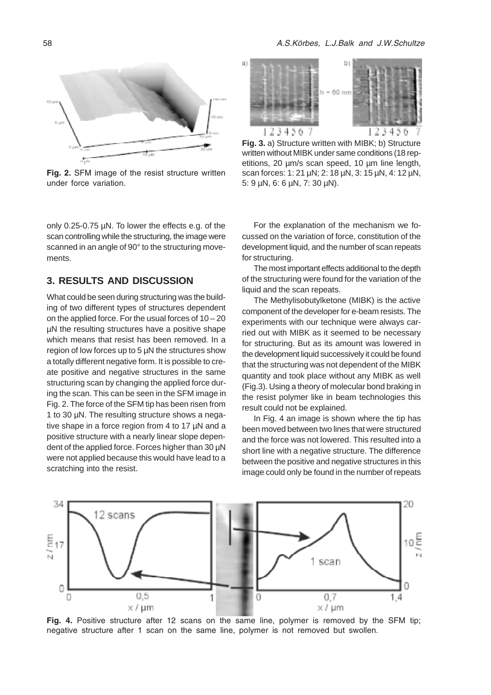

Fig. 2. SFM image of the resist structure written under force variation.

only 0.25-0.75 µN. To lower the effects e.g. of the scan controlling while the structuring, the image were scanned in an angle of 90° to the structuring movements.

#### **3. RESULTS AND DISCUSSION**

What could be seen during structuring was the building of two different types of structures dependent on the applied force. For the usual forces of  $10 - 20$ µN the resulting structures have a positive shape which means that resist has been removed. In a region of low forces up to 5 µN the structures show a totally different negative form. It is possible to create positive and negative structures in the same structuring scan by changing the applied force during the scan. This can be seen in the SFM image in Fig. 2. The force of the SFM tip has been risen from 1 to 30 µN. The resulting structure shows a negative shape in a force region from 4 to 17 µN and a positive structure with a nearly linear slope dependent of the applied force. Forces higher than 30  $\mu$ N were not applied because this would have lead to a scratching into the resist.



**Fig. 3.** a) Structure written with MIBK; b) Structure written without MIBK under same conditions (18 repetitions, 20 µm/s scan speed, 10 µm line length, scan forces: 1: 21 µN; 2: 18 µN, 3: 15 µN, 4: 12 µN, 5: 9 µN, 6: 6 µN, 7: 30 µN).

For the explanation of the mechanism we focussed on the variation of force, constitution of the development liquid, and the number of scan repeats for structuring.

The most important effects additional to the depth of the structuring were found for the variation of the liquid and the scan repeats.

The Methylisobutylketone (MIBK) is the active component of the developer for e-beam resists. The experiments with our technique were always carried out with MIBK as it seemed to be necessary for structuring. But as its amount was lowered in the development liquid successively it could be found that the structuring was not dependent of the MIBK quantity and took place without any MIBK as well (Fig.3). Using a theory of molecular bond braking in the resist polymer like in beam technologies this result could not be explained.

In Fig. 4 an image is shown where the tip has been moved between two lines that were structured and the force was not lowered. This resulted into a short line with a negative structure. The difference between the positive and negative structures in this image could only be found in the number of repeats



Fig. 4. Positive structure after 12 scans on the same line, polymer is removed by the SFM tip; negative structure after 1 scan on the same line, polymer is not removed but swollen.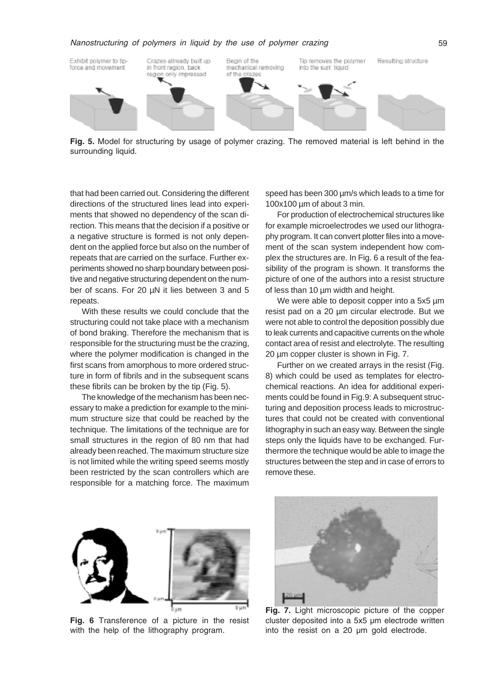

Fig. 5. Model for structuring by usage of polymer crazing. The removed material is left behind in the surrounding liquid.

that had been carried out. Considering the different directions of the structured lines lead into experiments that showed no dependency of the scan direction. This means that the decision if a positive or a negative structure is formed is not only dependent on the applied force but also on the number of repeats that are carried on the surface. Further experiments showed no sharp boundary between positive and negative structuring dependent on the number of scans. For 20 µN it lies between 3 and 5 repeats.

With these results we could conclude that the structuring could not take place with a mechanism of bond braking. Therefore the mechanism that is responsible for the structuring must be the crazing, where the polymer modification is changed in the first scans from amorphous to more ordered structure in form of fibrils and in the subsequent scans these fibrils can be broken by the tip (Fig. 5).

The knowledge of the mechanism has been necessary to make a prediction for example to the minimum structure size that could be reached by the technique. The limitations of the technique are for small structures in the region of 80 nm that had already been reached. The maximum structure size is not limited while the writing speed seems mostly been restricted by the scan controllers which are responsible for a matching force. The maximum

speed has been 300  $\mu$ m/s which leads to a time for 100x100 µm of about 3 min.

For production of electrochemical structures like for example microelectrodes we used our lithography program. It can convert plotter files into a movement of the scan system independent how complex the structures are. In Fig. 6 a result of the feasibility of the program is shown. It transforms the picture of one of the authors into a resist structure of less than 10 µm width and height.

We were able to deposit copper into a 5x5  $\mu$ m resist pad on a 20 µm circular electrode. But we were not able to control the deposition possibly due to leak currents and capacitive currents on the whole contact area of resist and electrolyte. The resulting 20 µm copper cluster is shown in Fig. 7.

Further on we created arrays in the resist (Fig. 8) which could be used as templates for electrochemical reactions. An idea for additional experiments could be found in Fig.9: A subsequent structuring and deposition process leads to microstructures that could not be created with conventional lithography in such an easy way. Between the single steps only the liquids have to be exchanged. Furthermore the technique would be able to image the structures between the step and in case of errors to remove these.



Fig. 6 Transference of a picture in the resist with the help of the lithography program.



Fig. 7. Light microscopic picture of the copper cluster deposited into a 5x5 µm electrode written into the resist on a 20 µm gold electrode.